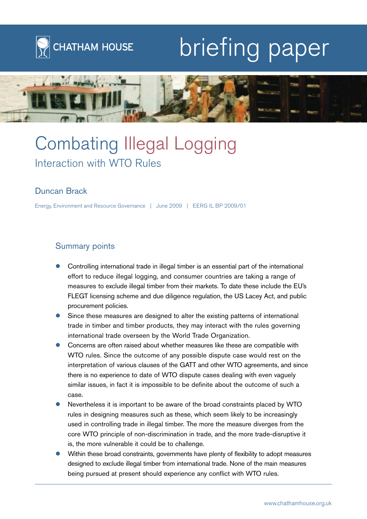

# briefing paper



# Combating Illegal Logging Interaction with WTO Rules

# Duncan Brack

Energy, Environment and Resource Governance | June 2009 | EERG IL BP 2009/01

# Summary points

- $\bullet$  Controlling international trade in illegal timber is an essential part of the international effort to reduce illegal logging, and consumer countries are taking a range of measures to exclude illegal timber from their markets. To date these include the EU's FLEGT licensing scheme and due diligence regulation, the US Lacey Act, and public procurement policies.
- - Since these measures are designed to alter the existing patterns of international trade in timber and timber products, they may interact with the rules governing international trade overseen by the World Trade Organization.
- $\bullet$  Concerns are often raised about whether measures like these are compatible with WTO rules. Since the outcome of any possible dispute case would rest on the interpretation of various clauses of the GATT and other WTO agreements, and since there is no experience to date of WTO dispute cases dealing with even vaguely similar issues, in fact it is impossible to be definite about the outcome of such a case.
- $\bullet$  Nevertheless it is important to be aware of the broad constraints placed by WTO rules in designing measures such as these, which seem likely to be increasingly used in controlling trade in illegal timber. The more the measure diverges from the core WTO principle of non-discrimination in trade, and the more trade-disruptive it is, the more vulnerable it could be to challenge.
- $\bullet$  Within these broad constraints, governments have plenty of flexibility to adopt measures designed to exclude illegal timber from international trade. None of the main measures being pursued at present should experience any conflict with WTO rules.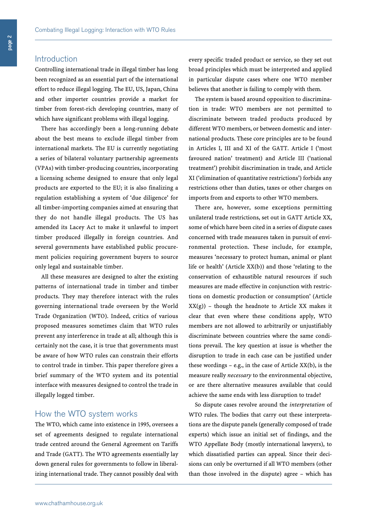## Introduction

Controlling international trade in illegal timber has long been recognized as an essential part of the international effort to reduce illegal logging. The EU, US, Japan, China and other importer countries provide a market for timber from forest-rich developing countries, many of which have significant problems with illegal logging.

There has accordingly been a long-running debate about the best means to exclude illegal timber from international markets. The EU is currently negotiating a series of bilateral voluntary partnership agreements (VPAs) with timber-producing countries, incorporating a licensing scheme designed to ensure that only legal products are exported to the EU; it is also finalizing a regulation establishing a system of 'due diligence' for all timber-importing companies aimed at ensuring that they do not handle illegal products. The US has amended its Lacey Act to make it unlawful to import timber produced illegally in foreign countries. And several governments have established public procurement policies requiring government buyers to source only legal and sustainable timber.

All these measures are designed to alter the existing patterns of international trade in timber and timber products. They may therefore interact with the rules governing international trade overseen by the World Trade Organization (WTO). Indeed, critics of various proposed measures sometimes claim that WTO rules prevent any interference in trade at all; although this is certainly not the case, it is true that governments must be aware of how WTO rules can constrain their efforts to control trade in timber. This paper therefore gives a brief summary of the WTO system and its potential interface with measures designed to control the trade in illegally logged timber.

#### How the WTO system works

The WTO, which came into existence in 1995, oversees a set of agreements designed to regulate international trade centred around the General Agreement on Tariffs and Trade (GATT). The WTO agreements essentially lay down general rules for governments to follow in liberalizing international trade. They cannot possibly deal with

every specific traded product or service, so they set out broad principles which must be interpreted and applied in particular dispute cases where one WTO member believes that another is failing to comply with them.

The system is based around opposition to discrimination in trade: WTO members are not permitted to discriminate between traded products produced by different WTO members, or between domestic and international products. These core principles are to be found in Articles I, III and XI of the GATT. Article I ('most favoured nation' treatment) and Article III ('national treatment') prohibit discrimination in trade, and Article XI ('elimination of quantitative restrictions') forbids any restrictions other than duties, taxes or other charges on imports from and exports to other WTO members.

There are, however, some exceptions permitting unilateral trade restrictions, set out in GATT Article XX, some of which have been cited in a series of dispute cases concerned with trade measures taken in pursuit of environmental protection. These include, for example, measures 'necessary to protect human, animal or plant life or health' (Article XX(b)) and those 'relating to the conservation of exhaustible natural resources if such measures are made effective in conjunction with restrictions on domestic production or consumption' (Article  $XX(g)$ ) – though the headnote to Article XX makes it clear that even where these conditions apply, WTO members are not allowed to arbitrarily or unjustifiably discriminate between countries where the same conditions prevail. The key question at issue is whether the disruption to trade in each case can be justified under these wordings – e.g., in the case of Article XX(b), is the measure really *necessary* to the environmental objective, or are there alternative measures available that could achieve the same ends with less disruption to trade?

So dispute cases revolve around the *interpretation* of WTO rules. The bodies that carry out these interpretations are the dispute panels (generally composed of trade experts) which issue an initial set of findings, and the WTO Appellate Body (mostly international lawyers), to which dissatisfied parties can appeal. Since their decisions can only be overturned if all WTO members (other than those involved in the dispute) agree – which has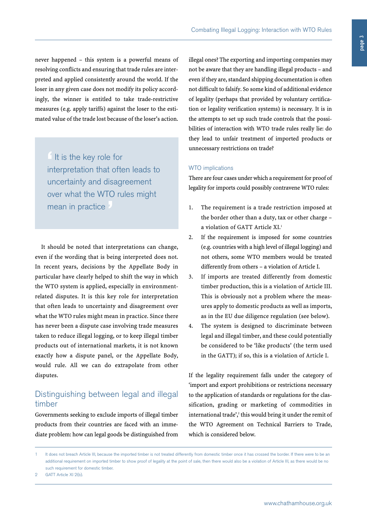never happened – this system is a powerful means of resolving conflicts and ensuring that trade rules are interpreted and applied consistently around the world. If the loser in any given case does not modify its policy accordingly, the winner is entitled to take trade-restrictive measures (e.g. apply tariffs) against the loser to the estimated value of the trade lost because of the loser's action.

**'**It is the key role for interpretation that often leads to uncertainty and disagreement over what the WTO rules might mean in practice **'**

It should be noted that interpretations can change, even if the wording that is being interpreted does not. In recent years, decisions by the Appellate Body in particular have clearly helped to shift the way in which the WTO system is applied, especially in environmentrelated disputes. It is this key role for interpretation that often leads to uncertainty and disagreement over what the WTO rules might mean in practice. Since there has never been a dispute case involving trade measures taken to reduce illegal logging, or to keep illegal timber products out of international markets, it is not known exactly how a dispute panel, or the Appellate Body, would rule. All we can do extrapolate from other disputes.

# Distinguishing between legal and illegal timber

Governments seeking to exclude imports of illegal timber products from their countries are faced with an immediate problem: how can legal goods be distinguished from

illegal ones? The exporting and importing companies may not be aware that they are handling illegal products – and even if they are, standard shipping documentation is often not difficult to falsify. So some kind of additional evidence of legality (perhaps that provided by voluntary certification or legality verification systems) is necessary. It is in the attempts to set up such trade controls that the possibilities of interaction with WTO trade rules really lie: do they lead to unfair treatment of imported products or unnecessary restrictions on trade?

#### WTO implications

There are four cases under which a requirement for proof of legality for imports could possibly contravene WTO rules:

- 1. The requirement is a trade restriction imposed at the border other than a duty, tax or other charge – a violation of GATT Article XI. 1
- 2. If the requirement is imposed for some countries (e.g. countries with a high level of illegal logging) and not others, some WTO members would be treated differently from others – a violation of Article I.
- 3. If imports are treated differently from domestic timber production, this is a violation of Article III. This is obviously not a problem where the measures apply to domestic products as well as imports, as in the EU due diligence regulation (see below).
- 4. The system is designed to discriminate between legal and illegal timber, and these could potentially be considered to be 'like products' (the term used in the GATT); if so, this is a violation of Article I.

If the legality requirement falls under the category of 'import and export prohibitions or restrictions necessary to the application of standards or regulations for the classification, grading or marketing of commodities in international trade',<sup>2</sup> this would bring it under the remit of the WTO Agreement on Technical Barriers to Trade, which is considered below.

<sup>1</sup> It does not breach Article III, because the imported timber is not treated differently from domestic timber once it has crossed the border. If there were to be an additional requirement on imported timber to show proof of legality at the point of sale, then there would also be a violation of Article III, as there would be no such requirement for domestic timber.

<sup>2</sup> GATT Article XI 2(b).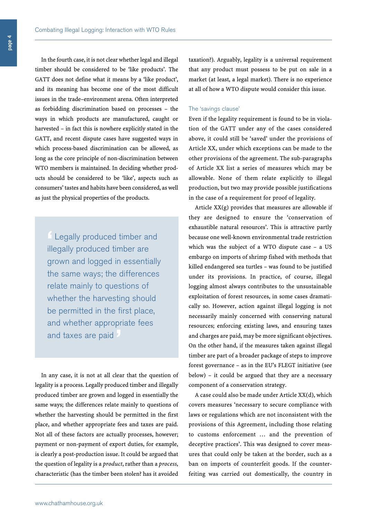In the fourth case, it is not clear whether legal and illegal timber should be considered to be 'like products'. The GATT does not define what it means by a 'like product', and its meaning has become one of the most difficult issues in the trade–environment arena. Often interpreted as forbidding discrimination based on processes – the ways in which products are manufactured, caught or harvested – in fact this is nowhere explicitly stated in the GATT, and recent dispute cases have suggested ways in which process-based discrimination can be allowed, as long as the core principle of non-discrimination between WTO members is maintained. In deciding whether products should be considered to be 'like', aspects such as consumers' tastes and habits have been considered, aswell as just the physical properties of the products.

**'** Legally produced timber and illegally produced timber are grown and logged in essentially the same ways; the differences relate mainly to questions of whether the harvesting should be permitted in the first place, and whether appropriate fees and taxes are paid

In any case, it is not at all clear that the question of legality is a process. Legally produced timber and illegally produced timber are grown and logged in essentially the same ways; the differences relate mainly to questions of whether the harvesting should be permitted in the first place, and whether appropriate fees and taxes are paid. Not all of these factors are actually processes, however; payment or non-payment of export duties, for example, is clearly a post-production issue. It could be argued that the question of legality is a *product*, rather than a *process*, characteristic (has the timber been stolen? has it avoided taxation?). Arguably, legality is a universal requirement that any product must possess to be put on sale in a market (at least, a legal market). There is no experience at all of how a WTO dispute would consider this issue.

#### The 'savings clause'

Even if the legality requirement is found to be in violation of the GATT under any of the cases considered above, it could still be 'saved' under the provisions of Article XX, under which exceptions can be made to the other provisions of the agreement. The sub-paragraphs of Article XX list a series of measures which may be allowable. None of them relate explicitly to illegal production, but two may provide possible justifications in the case of a requirement for proof of legality.

Article  $XX(g)$  provides that measures are allowable if they are designed to ensure the 'conservation of exhaustible natural resources'. This is attractive partly because one well-known environmental trade restriction which was the subject of a WTO dispute case – a US embargo on imports of shrimp fished with methods that killed endangered sea turtles – was found to be justified under its provisions. In practice, of course, illegal logging almost always contributes to the unsustainable exploitation of forest resources, in some cases dramatically so. However, action against illegal logging is not necessarily mainly concerned with conserving natural resources; enforcing existing laws, and ensuring taxes and charges are paid, may be more significant objectives. On the other hand, if the measures taken against illegal timber are part of a broader package of steps to improve forest governance – as in the EU's FLEGT initiative (see below) – it could be argued that they are a necessary component of a conservation strategy.

A case could also be made under Article XX(d), which covers measures 'necessary to secure compliance with laws or regulations which are not inconsistent with the provisions of this Agreement, including those relating to customs enforcement … and the prevention of deceptive practices'. This was designed to cover measures that could only be taken at the border, such as a ban on imports of counterfeit goods. If the counterfeiting was carried out domestically, the country in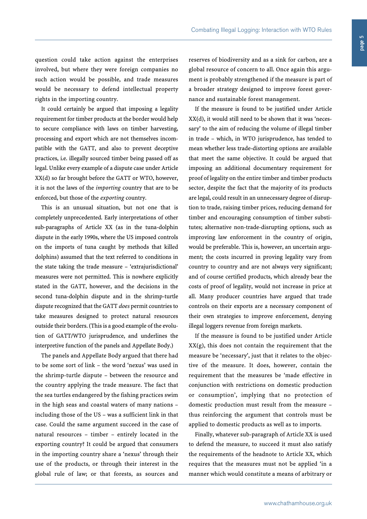question could take action against the enterprises involved, but where they were foreign companies no such action would be possible, and trade measures would be necessary to defend intellectual property rights in the importing country.

It could certainly be argued that imposing a legality requirement for timber products at the border would help to secure compliance with laws on timber harvesting, processing and export which are not themselves incompatible with the GATT, and also to prevent deceptive practices, i.e. illegally sourced timber being passed off as legal. Unlike every example of a dispute case under Article XX(d) so far brought before the GATT or WTO, however, it is not the laws of the *importing* country that are to be enforced, but those of the *exporting* country.

This is an unusual situation, but not one that is completely unprecedented. Early interpretations of other sub-paragraphs of Article XX (as in the tuna-dolphin dispute in the early 1990s, where the US imposed controls on the imports of tuna caught by methods that killed dolphins) assumed that the text referred to conditions in the state taking the trade measure – 'extrajurisdictional' measures were not permitted. This is nowhere explicitly stated in the GATT, however, and the decisions in the second tuna-dolphin dispute and in the shrimp-turtle dispute recognized that the GATT *does* permit countries to take measures designed to protect natural resources outside their borders.(This is a good example of the evolution of GATT/WTO jurisprudence, and underlines the interpretive function of the panels and Appellate Body.)

The panels and Appellate Body argued that there had to be some sort of link – the word 'nexus' was used in the shrimp-turtle dispute – between the resource and the country applying the trade measure. The fact that the sea turtles endangered by the fishing practices swim in the high seas and coastal waters of many nations – including those of the US – was a sufficient link in that case. Could the same argument succeed in the case of natural resources – timber – entirely located in the exporting country? It could be argued that consumers in the importing country share a 'nexus' through their use of the products, or through their interest in the global rule of law; or that forests, as sources and reserves of biodiversity and as a sink for carbon, are a global resource of concern to all. Once again this argument is probably strengthened if the measure is part of a broader strategy designed to improve forest governance and sustainable forest management.

If the measure is found to be justified under Article XX(d), it would still need to be shown that it was 'necessary' to the aim of reducing the volume of illegal timber in trade – which, in WTO jurisprudence, has tended to mean whether less trade-distorting options are available that meet the same objective. It could be argued that imposing an additional documentary requirement for proof of legality on the entire timber and timber products sector, despite the fact that the majority of its products are legal, could result in an unnecessary degree of disruption to trade, raising timber prices, reducing demand for timber and encouraging consumption of timber substitutes; alternative non-trade-disrupting options, such as improving law enforcement in the country of origin, would be preferable. This is, however, an uncertain argument; the costs incurred in proving legality vary from country to country and are not always very significant; and of course certified products, which already bear the costs of proof of legality, would not increase in price at all. Many producer countries have argued that trade controls on their exports are a necessary component of their own strategies to improve enforcement, denying illegal loggers revenue from foreign markets.

If the measure is found to be justified under Article  $XX(g)$ , this does not contain the requirement that the measure be 'necessary', just that it relates to the objective of the measure. It does, however, contain the requirement that the measures be 'made effective in conjunction with restrictions on domestic production or consumption', implying that no protection of domestic production must result from the measure – thus reinforcing the argument that controls must be applied to domestic products as well as to imports.

Finally, whatever sub-paragraph of Article XX is used to defend the measure, to succeed it must also satisfy the requirements of the headnote to Article XX, which requires that the measures must not be applied 'in a manner which would constitute a means of arbitrary or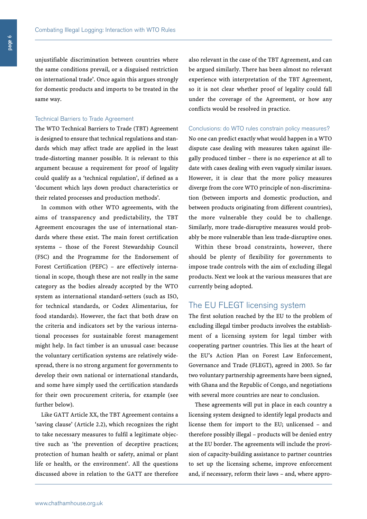page 6

unjustifiable discrimination between countries where the same conditions prevail, or a disguised restriction on international trade'. Once again this argues strongly for domestic products and imports to be treated in the same way.

#### Technical Barriers to Trade Agreement

The WTO Technical Barriers to Trade (TBT) Agreement is designed to ensure that technical regulations and standards which may affect trade are applied in the least trade-distorting manner possible. It is relevant to this argument because a requirement for proof of legality could qualify as a 'technical regulation', if defined as a 'document which lays down product characteristics or their related processes and production methods'.

In common with other WTO agreements, with the aims of transparency and predictability, the TBT Agreement encourages the use of international standards where these exist. The main forest certification systems – those of the Forest Stewardship Council (FSC) and the Programme for the Endorsement of Forest Certification (PEFC) – are effectively international in scope, though these are not really in the same category as the bodies already accepted by the WTO system as international standard-setters (such as ISO, for technical standards, or Codex Alimentarius, for food standards). However, the fact that both draw on the criteria and indicators set by the various international processes for sustainable forest management might help. In fact timber is an unusual case: because the voluntary certification systems are relatively widespread, there is no strong argument for governments to develop their own national or international standards, and some have simply used the certification standards for their own procurement criteria, for example (see further below).

Like GATT Article XX, the TBT Agreement contains a 'saving clause' (Article 2.2), which recognizes the right to take necessary measures to fulfil a legitimate objective such as 'the prevention of deceptive practices; protection of human health or safety, animal or plant life or health, or the environment'. All the questions discussed above in relation to the GATT are therefore

also relevant in the case of the TBT Agreement, and can be argued similarly. There has been almost no relevant experience with interpretation of the TBT Agreement, so it is not clear whether proof of legality could fall under the coverage of the Agreement, or how any conflicts would be resolved in practice.

#### Conclusions: do WTO rules constrain policy measures?

No one can predict exactly what would happen in a WTO dispute case dealing with measures taken against illegally produced timber – there is no experience at all to date with cases dealing with even vaguely similar issues. However, it is clear that the more policy measures diverge from the core WTO principle of non-discrimination (between imports and domestic production, and between products originating from different countries), the more vulnerable they could be to challenge. Similarly, more trade-disruptive measures would probably be more vulnerable than less trade-disruptive ones.

Within these broad constraints, however, there should be plenty of flexibility for governments to impose trade controls with the aim of excluding illegal products. Next we look at the various measures that are currently being adopted.

#### The EU FLEGT licensing system

The first solution reached by the EU to the problem of excluding illegal timber products involves the establishment of a licensing system for legal timber with cooperating partner countries. This lies at the heart of the EU's Action Plan on Forest Law Enforcement, Governance and Trade (FLEGT), agreed in 2003. So far two voluntary partnership agreements have been signed, with Ghana and the Republic of Congo, and negotiations with several more countries are near to conclusion.

These agreements will put in place in each country a licensing system designed to identify legal products and license them for import to the EU; unlicensed – and therefore possibly illegal – products will be denied entry at the EU border. The agreements will include the provision of capacity-building assistance to partner countries to set up the licensing scheme, improve enforcement and, if necessary, reform their laws – and, where appro-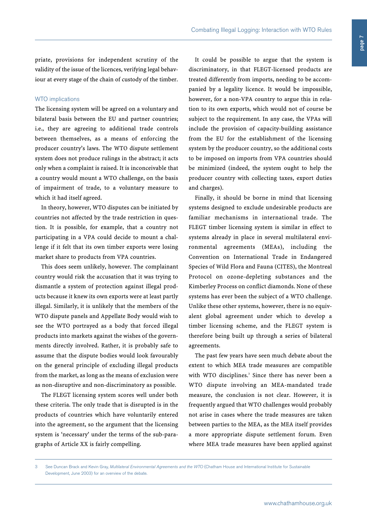#### WTO implications

The licensing system will be agreed on a voluntary and bilateral basis between the EU and partner countries; i.e., they are agreeing to additional trade controls between themselves, as a means of enforcing the producer country's laws. The WTO dispute settlement system does not produce rulings in the abstract; it acts only when a complaint is raised. It is inconceivable that a country would mount a WTO challenge, on the basis of impairment of trade, to a voluntary measure to which it had itself agreed.

In theory, however, WTO disputes can be initiated by countries not affected by the trade restriction in question. It is possible, for example, that a country not participating in a VPA could decide to mount a challenge if it felt that its own timber exports were losing market share to products from VPA countries.

This does seem unlikely, however. The complainant country would risk the accusation that it was trying to dismantle a system of protection against illegal products because it knew its own exports were at least partly illegal. Similarly, it is unlikely that the members of the WTO dispute panels and Appellate Body would wish to see the WTO portrayed as a body that forced illegal products into markets against the wishes of the governments directly involved. Rather, it is probably safe to assume that the dispute bodies would look favourably on the general principle of excluding illegal products from the market, as long as the means of exclusion were as non-disruptive and non-discriminatory as possible.

The FLEGT licensing system scores well under both these criteria. The only trade that is disrupted is in the products of countries which have voluntarily entered into the agreement, so the argument that the licensing system is 'necessary' under the terms of the sub-paragraphs of Article XX is fairly compelling.

It could be possible to argue that the system is discriminatory, in that FLEGT-licensed products are treated differently from imports, needing to be accompanied by a legality licence. It would be impossible, however, for a non-VPA country to argue this in relation to its own exports, which would not of course be subject to the requirement. In any case, the VPAs will include the provision of capacity-building assistance from the EU for the establishment of the licensing system by the producer country, so the additional costs to be imposed on imports from VPA countries should be minimized (indeed, the system ought to help the producer country with collecting taxes, export duties and charges).

Finally, it should be borne in mind that licensing systems designed to exclude undesirable products are familiar mechanisms in international trade. The FLEGT timber licensing system is similar in effect to systems already in place in several multilateral environmental agreements (MEAs), including the Convention on International Trade in Endangered Species of Wild Flora and Fauna (CITES), the Montreal Protocol on ozone-depleting substances and the Kimberley Process on conflict diamonds. None of these systems has ever been the subject of a WTO challenge. Unlike these other systems, however, there is no equivalent global agreement under which to develop a timber licensing scheme, and the FLEGT system is therefore being built up through a series of bilateral agreements.

The past few years have seen much debate about the extent to which MEA trade measures are compatible with WTO disciplines. <sup>3</sup> Since there has never been a WTO dispute involving an MEA-mandated trade measure, the conclusion is not clear. However, it is frequently argued that WTO challenges would probably not arise in cases where the trade measures are taken between parties to the MEA, as the MEA itself provides a more appropriate dispute settlement forum. Even where MEA trade measures have been applied against

<sup>3</sup> See Duncan Brack and Kevin Gray, *Multilateral Environmental Agreements and the WTO* (Chatham House and International Institute for Sustainable Development, June 2003) for an overview of the debate.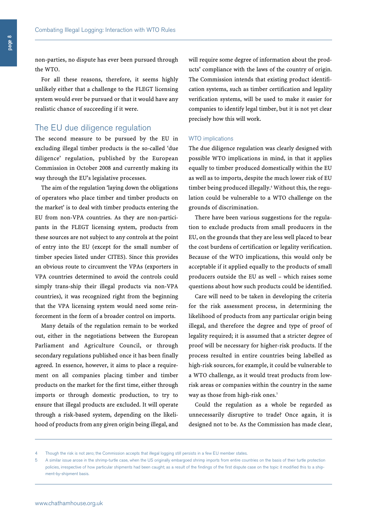non-parties, no dispute has ever been pursued through the WTO.

For all these reasons, therefore, it seems highly unlikely either that a challenge to the FLEGT licensing system would ever be pursued or that it would have any realistic chance of succeeding if it were.

# The EU due diligence regulation

The second measure to be pursued by the EU in excluding illegal timber products is the so-called 'due diligence' regulation, published by the European Commission in October 2008 and currently making its way through the EU's legislative processes.

The aim of the regulation 'laying down the obligations of operators who place timber and timber products on the market' is to deal with timber products entering the EU from non-VPA countries. As they are non-participants in the FLEGT licensing system, products from these sources are not subject to any controls at the point of entry into the EU (except for the small number of timber species listed under CITES). Since this provides an obvious route to circumvent the VPAs (exporters in VPA countries determined to avoid the controls could simply trans-ship their illegal products via non-VPA countries), it was recognized right from the beginning that the VPA licensing system would need some reinforcement in the form of a broader control on imports.

Many details of the regulation remain to be worked out, either in the negotiations between the European Parliament and Agriculture Council, or through secondary regulations published once it has been finally agreed. In essence, however, it aims to place a requirement on all companies placing timber and timber products on the market for the first time, either through imports or through domestic production, to try to ensure that illegal products are excluded. It will operate through a risk-based system, depending on the likelihood of products from any given origin being illegal, and will require some degree of information about the products' compliance with the laws of the country of origin. The Commission intends that existing product identification systems, such as timber certification and legality verification systems, will be used to make it easier for companies to identify legal timber, but it is not yet clear precisely how this will work.

#### WTO implications

The due diligence regulation was clearly designed with possible WTO implications in mind, in that it applies equally to timber produced domestically within the EU as well as to imports, despite the much lower risk of EU timber being produced illegally. <sup>4</sup> Without this, the regulation could be vulnerable to a WTO challenge on the grounds of discrimination.

There have been various suggestions for the regulation to exclude products from small producers in the EU, on the grounds that they are less well placed to bear the cost burdens of certification or legality verification. Because of the WTO implications, this would only be acceptable if it applied equally to the products of small producers outside the EU as well – which raises some questions about how such products could be identified.

Care will need to be taken in developing the criteria for the risk assessment process, in determining the likelihood of products from any particular origin being illegal, and therefore the degree and type of proof of legality required; it is assumed that a stricter degree of proof will be necessary for higher-risk products. If the process resulted in entire countries being labelled as high-risk sources, for example, it could be vulnerable to a WTO challenge, as it would treat products from lowrisk areas or companies within the country in the same way as those from high-risk ones. 5

Could the regulation as a whole be regarded as unnecessarily disruptive to trade? Once again, it is designed not to be. As the Commission has made clear,

<sup>4</sup> Though the risk is not zero; the Commission accepts that illegal logging still persists in a few EU member states.

A similar issue arose in the shrimp-turtle case, when the US originally embargoed shrimp imports from entire countries on the basis of their turtle protection policies, irrespective of how particular shipments had been caught; as a result of the findings of the first dispute case on the topic it modified this to a shipment-by-shipment basis.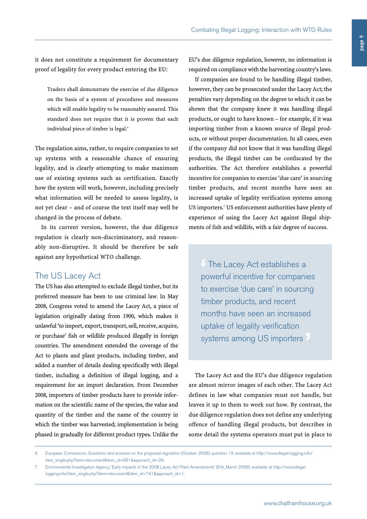it does not constitute a requirement for documentary proof of legality for every product entering the EU:

Traders shall demonstrate the exercise of due diligence on the basis of a system of procedures and measures which will enable legality to be reasonably assured. This standard does not require that it is proven that each individual piece of timber is legal. 6

The regulation aims, rather, to require companies to set up systems with a reasonable chance of ensuring legality, and is clearly attempting to make maximum use of existing systems such as certification. Exactly how the system will work, however, including precisely what information will be needed to assess legality, is not yet clear – and of course the text itself may well be changed in the process of debate.

In its current version, however, the due diligence regulation is clearly non-discriminatory, and reasonably non-disruptive. It should be therefore be safe against any hypothetical WTO challenge.

# The US Lacey Act

The US has also attempted to exclude illegal timber, but its preferred measure has been to use criminal law. In May 2008, Congress voted to amend the Lacey Act, a piece of legislation originally dating from 1900, which makes it unlawful 'to import, export, transport, sell, receive, acquire, or purchase' fish or wildlife produced illegally in foreign countries. The amendment extended the coverage of the Act to plants and plant products, including timber, and added a number of details dealing specifically with illegal timber, including a definition of illegal logging, and a requirement for an import declaration. From December 2008, importers of timber products have to provide information on the scientific name of the species, the value and quantity of the timber and the name of the country in which the timber was harvested; implementation is being phased in gradually for different product types. Unlike the

EU's due diligence regulation, however, no information is required on compliance with the harvesting country's laws.

If companies are found to be handling illegal timber, however, they can be prosecuted under the Lacey Act; the penalties vary depending on the degree to which it can be shown that the company knew it was handling illegal products, or ought to have known – for example, if it was importing timber from a known source of illegal products, or without proper documentation. In all cases, even if the company did not know that it was handling illegal products, the illegal timber can be confiscated by the authorities. The Act therefore establishes a powerful incentive for companies to exercise 'due care' in sourcing timber products, and recent months have seen an increased uptake of legality verification systems among US importers. <sup>7</sup> US enforcement authorities have plenty of experience of using the Lacey Act against illegal shipments of fish and wildlife, with a fair degree of success.

**'** The Lacey Act establishes <sup>a</sup> powerful incentive for companies to exercise 'due care' in sourcing timber products, and recent months have seen an increased uptake of legality verification systems among US importers

The Lacey Act and the EU's due diligence regulation are almost mirror images of each other. The Lacey Act defines in law what companies must not handle, but leaves it up to them to work out how. By contrast, the due diligence regulation does not define any underlying offence of handling illegal products, but describes in some detail the systems operators must put in place to

<sup>6</sup> European Commission, Questions and answers on the proposed regulation (October 2008), question 13; available at http://www.illegal-logging.info/ item\_single.php?item=document&item\_id=691&approach\_id=26.

<sup>7</sup> Environmental Investigation Agency, 'Early impacts of the 2008 Lacey Act Plant Amendments' (EIA, March 2009); available at http://www.illegallogging.info/item\_single.php?item=document&item\_id=741&approach\_id=1.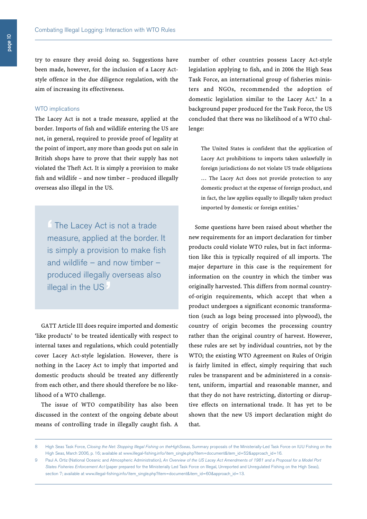try to ensure they avoid doing so. Suggestions have been made, however, for the inclusion of a Lacey Actstyle offence in the due diligence regulation, with the aim of increasing its effectiveness.

#### WTO implications

The Lacey Act is not a trade measure, applied at the border. Imports of fish and wildlife entering the US are not, in general, required to provide proof of legality at the point of import, any more than goods put on sale in British shops have to prove that their supply has not violated the Theft Act. It is simply a provision to make fish and wildlife – and now timber – produced illegally overseas also illegal in the US.

**'** The Lacey Act is not <sup>a</sup> trade measure, applied at the border. It is simply a provision to make fish and wildlife – and now timber – produced illegally overseas also illegal in the US **'**

GATT Article III does require imported and domestic 'like products' to be treated identically with respect to internal taxes and regulations, which could potentially cover Lacey Act-style legislation. However, there is nothing in the Lacey Act to imply that imported and domestic products should be treated any differently from each other, and there should therefore be no likelihood of a WTO challenge.

The issue of WTO compatibility has also been discussed in the context of the ongoing debate about means of controlling trade in illegally caught fish. A

number of other countries possess Lacey Act-style legislation applying to fish, and in 2006 the High Seas Task Force, an international group of fisheries ministers and NGOs, recommended the adoption of domestic legislation similar to the Lacey Act. <sup>8</sup> In a background paper produced for the Task Force, the US concluded that there was no likelihood of a WTO challenge:

The United States is confident that the application of Lacey Act prohibitions to imports taken unlawfully in foreign jurisdictions do not violate US trade obligations … The Lacey Act does not provide protection to any domestic product at the expense of foreign product, and in fact, the law applies equally to illegally taken product imported by domestic or foreign entities.<sup>9</sup>

Some questions have been raised about whether the new requirements for an import declaration for timber products could violate WTO rules, but in fact information like this is typically required of all imports. The major departure in this case is the requirement for information on the country in which the timber was originally harvested. This differs from normal countryof-origin requirements, which accept that when a product undergoes a significant economic transformation (such as logs being processed into plywood), the country of origin becomes the processing country rather than the original country of harvest. However, these rules are set by individual countries, not by the WTO; the existing WTO Agreement on Rules of Origin is fairly limited in effect, simply requiring that such rules be transparent and be administered in a consistent, uniform, impartial and reasonable manner, and that they do not have restricting, distorting or disruptive effects on international trade. It has yet to be shown that the new US import declaration might do that.

<sup>8</sup> High Seas Task Force, *Closing the Net: Stopping Illegal Fishing on theHighSseas*, Summary proposals of the Ministerially-Led Task Force on IUU Fishing on the High Seas, March 2006, p. 16; available at www.illegal-fishing.info/item\_single.php?item=document&item\_id=52&approach\_id=16.

Paul A. Ortiz (National Oceanic and Atmospheric Administration), An Overview of the US Lacey Act Amendments of 1981 and a Proposal for a Model Port *States Fisheries Enforcement Act* (paper prepared for the Ministerially Led Task Force on Illegal, Unreported and Unregulated Fishing on the High Seas), section 7; available at www.illegal-fishing.info/item\_single.php?item=document&item\_id=60&approach\_id=13.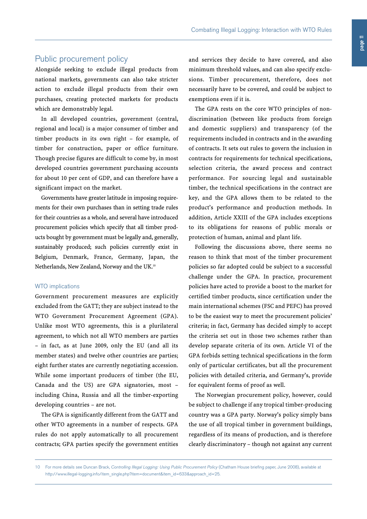# Public procurement policy

Alongside seeking to exclude illegal products from national markets, governments can also take stricter action to exclude illegal products from their own purchases, creating protected markets for products which are demonstrably legal.

In all developed countries, government (central, regional and local) is a major consumer of timber and timber products in its own right – for example, of timber for construction, paper or office furniture. Though precise figures are difficult to come by, in most developed countries government purchasing accounts for about 10 per cent of GDP, and can therefore have a significant impact on the market.

Governments have greater latitude in imposing requirements for their own purchases than in setting trade rules for their countries as a whole, and several have introduced procurement policies which specify that all timber products bought by government must be legally and, generally, sustainably produced; such policies currently exist in Belgium, Denmark, France, Germany, Japan, the Netherlands, New Zealand, Norway and the UK. 10

### WTO implications

Government procurement measures are explicitly excluded from the GATT; they are subject instead to the WTO Government Procurement Agreement (GPA). Unlike most WTO agreements, this is a plurilateral agreement, to which not all WTO members are parties – in fact, as at June 2009, only the EU (and all its member states) and twelve other countries are parties; eight further states are currently negotiating accession. While some important producers of timber (the EU, Canada and the US) are GPA signatories, most – including China, Russia and all the timber-exporting developing countries – are not.

The GPA is significantly different from the GATT and other WTO agreements in a number of respects. GPA rules do not apply automatically to all procurement contracts; GPA parties specify the government entities and services they decide to have covered, and also minimum threshold values, and can also specify exclusions. Timber procurement, therefore, does not necessarily have to be covered, and could be subject to exemptions even if it is.

The GPA rests on the core WTO principles of nondiscrimination (between like products from foreign and domestic suppliers) and transparency (of the requirements included in contracts and in the awarding of contracts. It sets out rules to govern the inclusion in contracts for requirements for technical specifications, selection criteria, the award process and contract performance. For sourcing legal and sustainable timber, the technical specifications in the contract are key, and the GPA allows them to be related to the product's performance and production methods. In addition, Article XXIII of the GPA includes exceptions to its obligations for reasons of public morals or protection of human, animal and plant life.

Following the discussions above, there seems no reason to think that most of the timber procurement policies so far adopted could be subject to a successful challenge under the GPA. In practice, procurement policies have acted to provide a boost to the market for certified timber products, since certification under the main international schemes (FSC and PEFC) has proved to be the easiest way to meet the procurement policies' criteria; in fact, Germany has decided simply to accept the criteria set out in those two schemes rather than develop separate criteria of its own. Article VI of the GPA forbids setting technical specifications in the form only of particular certificates, but all the procurement policies with detailed criteria, and Germany's, provide for equivalent forms of proof as well.

The Norwegian procurement policy, however, could be subject to challenge if any tropical timber-producing country was a GPA party. Norway's policy simply bans the use of all tropical timber in government buildings, regardless of its means of production, and is therefore clearly discriminatory – though not against any current

<sup>10</sup> For more details see Duncan Brack, *Controlling Illegal Logging: Using Public Procurement Policy* (Chatham House briefing paper, June 2008), available at http://www.illegal-logging.info/item\_single.php?item=document&item\_id=633&approach\_id=25.